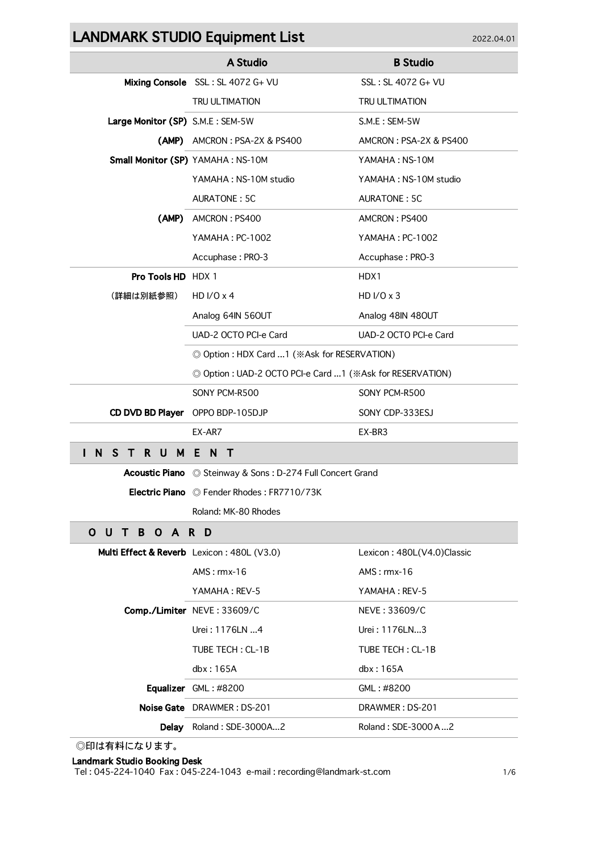## LANDMARK STUDIO Equipment List 2022.04.01

|                                            | A Studio                                                    | <b>B</b> Studio            |  |
|--------------------------------------------|-------------------------------------------------------------|----------------------------|--|
|                                            | Mixing Console SSL: SL 4072 G+ VU                           | SSL: SL 4072 G+ VU         |  |
|                                            | <b>TRU ULTIMATION</b>                                       | TRU ULTIMATION             |  |
| Large Monitor (SP) S.M.E : SEM-5W          |                                                             | S.M.E: SEM-5W              |  |
|                                            | (AMP) AMCRON : PSA-2X & PS400                               | AMCRON: PSA-2X & PS400     |  |
| Small Monitor (SP) YAMAHA: NS-10M          |                                                             | YAMAHA : NS-10M            |  |
|                                            | YAMAHA : NS-10M studio                                      | YAMAHA : NS-10M studio     |  |
|                                            | AURATONE: 5C                                                | AURATONE: 5C               |  |
|                                            | (AMP) AMCRON: PS400                                         | AMCRON: PS400              |  |
|                                            | YAMAHA: PC-1002                                             | YAMAHA: PC-1002            |  |
|                                            | Accuphase: PRO-3                                            | Accuphase: PRO-3           |  |
| <b>Pro Tools HD HDX 1</b>                  |                                                             | HDX1                       |  |
| (詳細は別紙参照)                                  | HD $I/O \times 4$                                           | HD $I/O \times 3$          |  |
|                                            | Analog 64IN 560UT                                           | Analog 48IN 480UT          |  |
|                                            | UAD-2 OCTO PCI-e Card                                       | UAD-2 OCTO PCI-e Card      |  |
|                                            | © Option : HDX Card 1 (※Ask for RESERVATION)                |                            |  |
|                                            | © Option : UAD-2 OCTO PCI-e Card  1 (※Ask for RESERVATION)  |                            |  |
|                                            | SONY PCM-R500                                               | SONY PCM-R500              |  |
| CD DVD BD Player OPPO BDP-105DJP           |                                                             | SONY CDP-333ESJ            |  |
|                                            | EX-AR7                                                      | EX-BR3                     |  |
| <b>STRUMENT</b><br>N,                      |                                                             |                            |  |
|                                            | Acoustic Piano  © Steinway & Sons: D-274 Full Concert Grand |                            |  |
|                                            | Electric Piano © Fender Rhodes: FR7710/73K                  |                            |  |
|                                            | Roland: MK-80 Rhodes                                        |                            |  |
| O U T B O A R D                            |                                                             |                            |  |
| Multi Effect & Reverb Lexicon: 480L (V3.0) |                                                             | Lexicon: 480L(V4.0)Classic |  |
|                                            | $AMS:$ $rmx-16$                                             | $AMS:$ $rmx-16$            |  |
|                                            | YAMAHA: REV-5                                               | YAMAHA: REV-5              |  |
|                                            | Comp./Limiter NEVE: 33609/C                                 | NEVE: 33609/C              |  |
|                                            | Urei: 1176LN 4                                              | Urei: 1176LN3              |  |
|                                            | TUBE TECH: CL-1B                                            | TUBE TECH: CL-1B           |  |
|                                            | dbx: 165A                                                   | dbx: 165A                  |  |
|                                            | Equalizer GML: #8200                                        | GML: #8200                 |  |
|                                            | Noise Gate DRAWMER: DS-201                                  | DRAWMER: DS-201            |  |
|                                            | Delay Roland: SDE-3000A2                                    | Roland: SDE-3000 A2        |  |

◎印は有料になります。

## Landmark Studio Booking Desk

Tel : 045-224-1040 Fax : 045-224-1043 e-mail : recording@landmark-st.com 1/6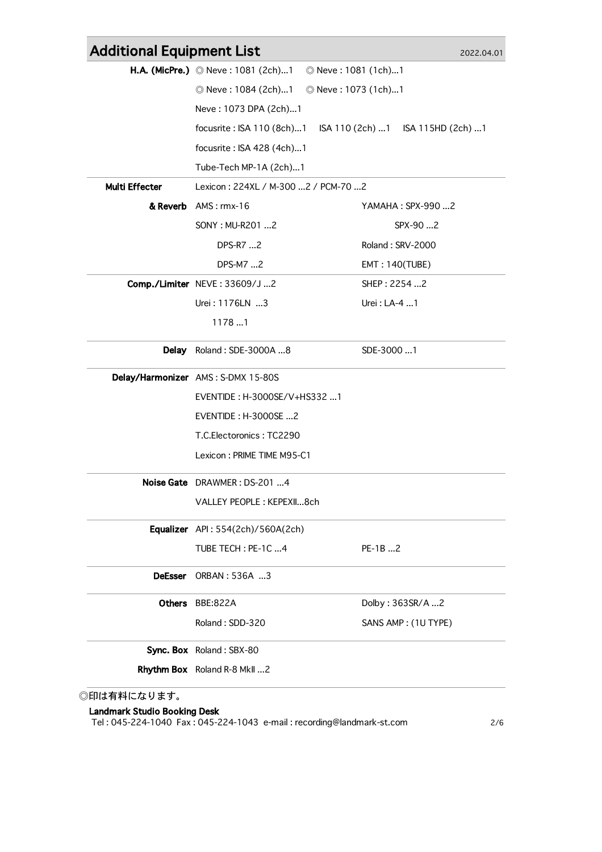| <b>Additional Equipment List</b> |                                             |                                   | 2022.04.01 |
|----------------------------------|---------------------------------------------|-----------------------------------|------------|
|                                  | <b>H.A. (MicPre.)</b> © Neve: 1081 (2ch)1   | © Neve: 1081 (1ch)1               |            |
|                                  | © Neve : 1084 (2ch)1<br>© Neve: 1073 (1ch)1 |                                   |            |
|                                  | Neve: 1073 DPA (2ch)1                       |                                   |            |
|                                  | focusrite: ISA 110 (8ch)1                   | ISA 110 (2ch) 1 ISA 115HD (2ch) 1 |            |
|                                  | focusrite: ISA 428 (4ch)1                   |                                   |            |
|                                  | Tube-Tech MP-1A (2ch)1                      |                                   |            |
| Multi Effecter                   | Lexicon: 224XL / M-300  2 / PCM-70  2       |                                   |            |
|                                  | & Reverb AMS: rmx-16                        | YAMAHA: SPX-990 2                 |            |
|                                  | SONY: MU-R201 2                             | SPX-90 2                          |            |
|                                  | DPS-R7 2                                    | Roland: SRV-2000                  |            |
|                                  | DPS-M7 2                                    | <b>EMT: 140(TUBE)</b>             |            |
|                                  | Comp./Limiter NEVE: 33609/J 2               | SHEP: 2254 2                      |            |
|                                  | Urei: 1176LN 3                              | Urei: LA-4 1                      |            |
|                                  | 11781                                       |                                   |            |
|                                  | Delay Roland: SDE-3000A 8                   | SDE-3000 1                        |            |
|                                  | Delay/Harmonizer AMS: S-DMX 15-80S          |                                   |            |
|                                  | EVENTIDE: H-3000SE/V+HS3321                 |                                   |            |
|                                  | EVENTIDE: H-3000SE 2                        |                                   |            |
|                                  | T.C.Electoronics: TC2290                    |                                   |            |
|                                  | Lexicon: PRIME TIME M95-C1                  |                                   |            |
|                                  | Noise Gate DRAWMER: DS-201 4                |                                   |            |
|                                  | VALLEY PEOPLE: KEPEXII8ch                   |                                   |            |
|                                  | Equalizer API: 554(2ch)/560A(2ch)           |                                   |            |
|                                  | TUBE TECH: PE-1C 4                          | PE-1B 2                           |            |
| <b>DeEsser</b>                   | ORBAN: 536A 3                               |                                   |            |
|                                  | Others BBE:822A                             | Dolby: 363SR/A 2                  |            |
|                                  | Roland: SDD-320                             | SANS AMP: (1U TYPE)               |            |
|                                  |                                             |                                   |            |
| Sync. Box Roland: SBX-80         |                                             |                                   |            |

## Landmark Studio Booking Desk

Tel : 045-224-1040 Fax : 045-224-1043 e-mail : recording@landmark-st.com 2/6